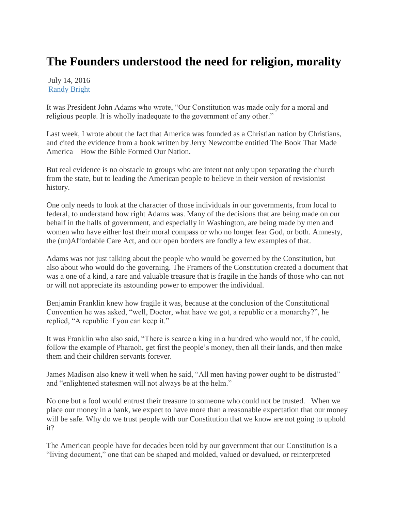## **The Founders understood the need for religion, morality**

July 14, 2016 [Randy Bright](http://tulsabeacon.com/author/randy-bright/)

It was President John Adams who wrote, "Our Constitution was made only for a moral and religious people. It is wholly inadequate to the government of any other."

Last week, I wrote about the fact that America was founded as a Christian nation by Christians, and cited the evidence from a book written by Jerry Newcombe entitled The Book That Made America – How the Bible Formed Our Nation.

But real evidence is no obstacle to groups who are intent not only upon separating the church from the state, but to leading the American people to believe in their version of revisionist history.

One only needs to look at the character of those individuals in our governments, from local to federal, to understand how right Adams was. Many of the decisions that are being made on our behalf in the halls of government, and especially in Washington, are being made by men and women who have either lost their moral compass or who no longer fear God, or both. Amnesty, the (un)Affordable Care Act, and our open borders are fondly a few examples of that.

Adams was not just talking about the people who would be governed by the Constitution, but also about who would do the governing. The Framers of the Constitution created a document that was a one of a kind, a rare and valuable treasure that is fragile in the hands of those who can not or will not appreciate its astounding power to empower the individual.

Benjamin Franklin knew how fragile it was, because at the conclusion of the Constitutional Convention he was asked, "well, Doctor, what have we got, a republic or a monarchy?", he replied, "A republic if you can keep it."

It was Franklin who also said, "There is scarce a king in a hundred who would not, if he could, follow the example of Pharaoh, get first the people's money, then all their lands, and then make them and their children servants forever.

James Madison also knew it well when he said, "All men having power ought to be distrusted" and "enlightened statesmen will not always be at the helm."

No one but a fool would entrust their treasure to someone who could not be trusted. When we place our money in a bank, we expect to have more than a reasonable expectation that our money will be safe. Why do we trust people with our Constitution that we know are not going to uphold it?

The American people have for decades been told by our government that our Constitution is a "living document," one that can be shaped and molded, valued or devalued, or reinterpreted